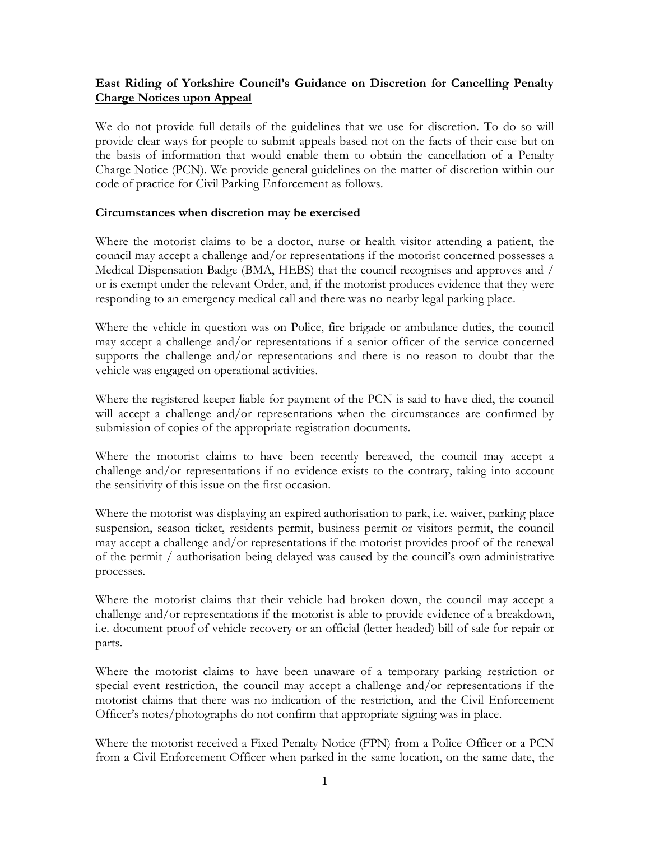## **East Riding of Yorkshire Council's Guidance on Discretion for Cancelling Penalty Charge Notices upon Appeal**

We do not provide full details of the guidelines that we use for discretion. To do so will provide clear ways for people to submit appeals based not on the facts of their case but on the basis of information that would enable them to obtain the cancellation of a Penalty Charge Notice (PCN). We provide general guidelines on the matter of discretion within our code of practice for Civil Parking Enforcement as follows.

## **Circumstances when discretion may be exercised**

Where the motorist claims to be a doctor, nurse or health visitor attending a patient, the council may accept a challenge and/or representations if the motorist concerned possesses a Medical Dispensation Badge (BMA, HEBS) that the council recognises and approves and / or is exempt under the relevant Order, and, if the motorist produces evidence that they were responding to an emergency medical call and there was no nearby legal parking place.

Where the vehicle in question was on Police, fire brigade or ambulance duties, the council may accept a challenge and/or representations if a senior officer of the service concerned supports the challenge and/or representations and there is no reason to doubt that the vehicle was engaged on operational activities.

Where the registered keeper liable for payment of the PCN is said to have died, the council will accept a challenge and/or representations when the circumstances are confirmed by submission of copies of the appropriate registration documents.

Where the motorist claims to have been recently bereaved, the council may accept a challenge and/or representations if no evidence exists to the contrary, taking into account the sensitivity of this issue on the first occasion.

Where the motorist was displaying an expired authorisation to park, i.e. waiver, parking place suspension, season ticket, residents permit, business permit or visitors permit, the council may accept a challenge and/or representations if the motorist provides proof of the renewal of the permit / authorisation being delayed was caused by the council's own administrative processes.

Where the motorist claims that their vehicle had broken down, the council may accept a challenge and/or representations if the motorist is able to provide evidence of a breakdown, i.e. document proof of vehicle recovery or an official (letter headed) bill of sale for repair or parts.

Where the motorist claims to have been unaware of a temporary parking restriction or special event restriction, the council may accept a challenge and/or representations if the motorist claims that there was no indication of the restriction, and the Civil Enforcement Officer's notes/photographs do not confirm that appropriate signing was in place.

Where the motorist received a Fixed Penalty Notice (FPN) from a Police Officer or a PCN from a Civil Enforcement Officer when parked in the same location, on the same date, the